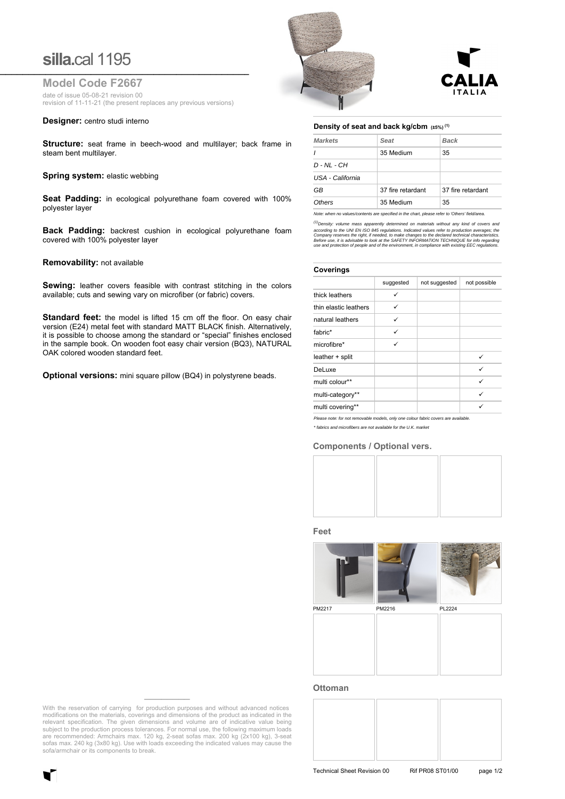# **silla.**cal 1195 **\_\_\_\_\_\_\_\_\_\_\_\_\_\_\_\_\_\_\_\_\_\_\_\_\_\_\_\_\_\_\_\_\_\_\_\_\_\_\_\_\_\_\_\_\_\_\_\_\_\_\_\_\_\_\_\_\_\_\_\_\_\_\_\_\_**

**Model Code F2667**

date of issue 05-08-21 revision 00 revision of 11-11-21 (the present replaces any previous versions)

#### **Designer:** centro studi interno

**Structure:** seat frame in beech-wood and multilayer; back frame in steam bent multilayer.

### **Spring system: elastic webbing**

**Seat Padding:** in ecological polyurethane foam covered with 100% polyester layer

**Back Padding:** backrest cushion in ecological polyurethane foam covered with 100% polyester layer

#### **Removability:** not available

**Sewing:** leather covers feasible with contrast stitching in the colors available; cuts and sewing vary on microfiber (or fabric) covers.

Standard feet: the model is lifted 15 cm off the floor. On easy chair version (E24) metal feet with standard MATT BLACK finish. Alternatively, it is possible to choose among the standard or "special" finishes enclosed in the sample book. On wooden foot easy chair version (BQ3), NATURAL OAK colored wooden standard feet.

**Optional versions:** mini square pillow (BQ4) in polystyrene beads.





#### **Density of seat and back kg/cbm (±5%) (1)**

| <b>Markets</b>   | Seat                                                                                 | <b>Back</b>       |  |
|------------------|--------------------------------------------------------------------------------------|-------------------|--|
|                  | 35 Medium                                                                            | 35                |  |
| $D - NL - CH$    |                                                                                      |                   |  |
| USA - California |                                                                                      |                   |  |
| GB               | 37 fire retardant                                                                    | 37 fire retardant |  |
| Others           | 35 Medium                                                                            | 35                |  |
|                  | Mata ukan na upunakantanta ara spasifind in the shart plasas rafor to Mihard Caldona |                   |  |

*Note: when no values/contents are specified in the chart, please refer to 'Others' field/area.*

*(1)Density: volume mass apparently determined on materials without any kind of covers and*  according to the UNI EN ISO 845 regulations. Indicated values refer to production averages; the<br>Company reserves the right, if needed, to make changes to the declared technical characteristics.<br>Before use, it is advisable

#### **Coverings**

| suggested | not suggested | not possible |
|-----------|---------------|--------------|
| ✓         |               |              |
| ✓         |               |              |
| ✓         |               |              |
| ✓         |               |              |
| ✓         |               |              |
|           |               | ✓            |
|           |               | ✓            |
|           |               | ✓            |
|           |               | ✓            |
|           |               | ✓            |
|           |               |              |

*\* fabrics and microfibers are not available for the U.K. market*

## **Components / Optional vers.**







PM2217 PM2216 PL2224



#### **Ottoman**



With the reservation of carrying for production purposes and without advanced notices modifications on the materials, coverings and dimensions of the product as indicated in the relevant specification. The given dimensions and volume are of indicative value being subject to the production process tolerances. For normal use, the following maximum loads are recommended: Armchairs max. 120 kg, 2-seat sofas max. 200 kg (2x100 kg), 3-seat sofas max. 240 kg (3x80 kg). Use with loads exceeding the indicated values may cause the sofa/armchair or its components to break.